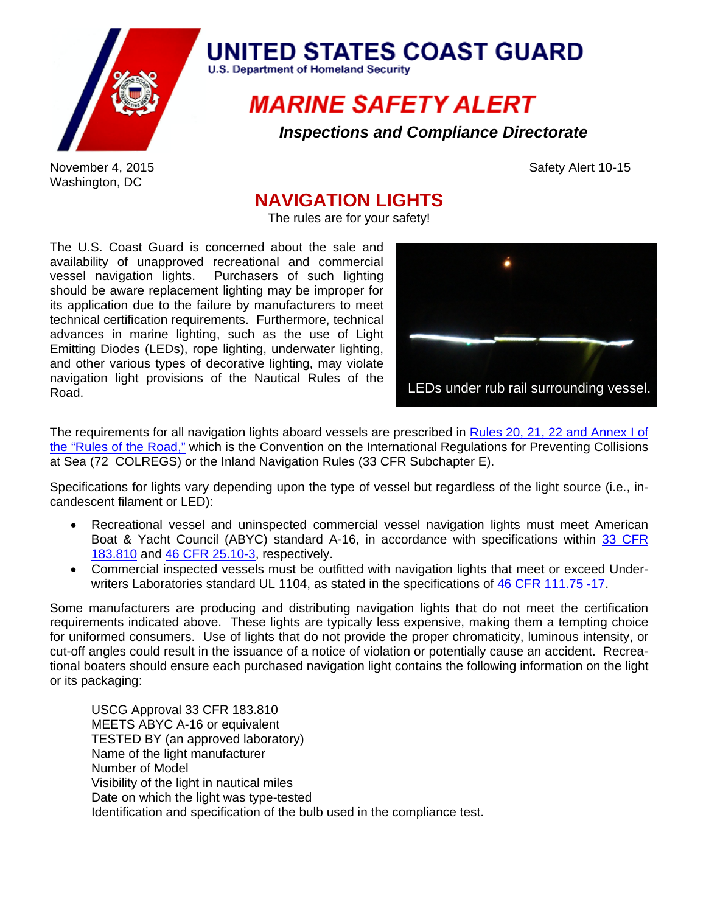

## **UNITED STATES COAST GUARD**

**U.S. Department of Homeland Security** 

## **MARINE SAFETY ALERT**

*Inspections and Compliance Directorate*

November 4, 2015 **Safety Alert 10-15** Safety Alert 10-15 Washington, DC

## **NAVIGATION LIGHTS**

The rules are for your safety!

The U.S. Coast Guard is concerned about the sale and availability of unapproved recreational and commercial vessel navigation lights. Purchasers of such lighting should be aware replacement lighting may be improper for its application due to the failure by manufacturers to meet technical certification requirements. Furthermore, technical advances in marine lighting, such as the use of Light Emitting Diodes (LEDs), rope lighting, underwater lighting, and other various types of decorative lighting, may violate navigation light provisions of the Nautical Rules of the Road.



The requirements for all navigation lights aboard vessels are prescribed in Rules 20, 21, 22 and Annex I of the "Rules of the Road," which is the Convention on the International Regulations for Preventing Collisions at Sea (72 COLREGS) or the Inland Navigation Rules (33 CFR Subchapter E).

Specifications for lights vary depending upon the type of vessel but regardless of the light source (i.e., incandescent filament or LED):

- Recreational vessel and uninspected commercial vessel navigation lights must meet American Boat & Yacht Council (ABYC) standard A-16, in accordance with specifications within 33 CFR 183.810 and 46 CFR 25.10-3, respectively.
- Commercial inspected vessels must be outfitted with navigation lights that meet or exceed Underwriters Laboratories standard UL 1104, as stated in the specifications of 46 CFR 111.75 -17.

Some manufacturers are producing and distributing navigation lights that do not meet the certification requirements indicated above. These lights are typically less expensive, making them a tempting choice for uniformed consumers. Use of lights that do not provide the proper chromaticity, luminous intensity, or cut-off angles could result in the issuance of a notice of violation or potentially cause an accident. Recreational boaters should ensure each purchased navigation light contains the following information on the light or its packaging:

USCG Approval 33 CFR 183.810 MEETS ABYC A-16 or equivalent TESTED BY (an approved laboratory) Name of the light manufacturer Number of Model Visibility of the light in nautical miles Date on which the light was type-tested Identification and specification of the bulb used in the compliance test.